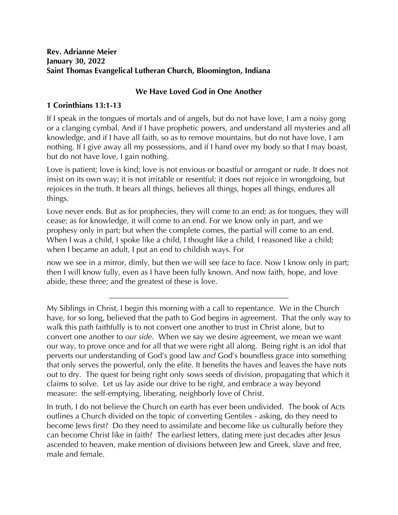## **Rev. Adrianne Meier January 30, 2022 Saint Thomas Evangelical Lutheran Church, Bloomington, Indiana**

## **We Have Loved God in One Another**

## **1 Corinthians 13:1-13**

If I speak in the tongues of mortals and of angels, but do not have love, I am a noisy gong or a clanging cymbal. And if I have prophetic powers, and understand all mysteries and all knowledge, and if I have all faith, so as to remove mountains, but do not have love, I am nothing. If I give away all my possessions, and if I hand over my body so that I may boast, but do not have love, I gain nothing.

Love is patient; love is kind; love is not envious or boastful or arrogant or rude. It does not insist on its own way; it is not irritable or resentful; it does not rejoice in wrongdoing, but rejoices in the truth. It bears all things, believes all things, hopes all things, endures all things.

Love never ends. But as for prophecies, they will come to an end; as for tongues, they will cease; as for knowledge, it will come to an end. For we know only in part, and we prophesy only in part; but when the complete comes, the partial will come to an end. When I was a child, I spoke like a child, I thought like a child, I reasoned like a child; when I became an adult, I put an end to childish ways. For

now we see in a mirror, dimly, but then we will see face to face. Now I know only in part; then I will know fully, even as I have been fully known. And now faith, hope, and love abide, these three; and the greatest of these is love.

\_\_\_\_\_\_\_\_\_\_\_\_\_\_\_\_\_\_\_\_\_\_\_\_\_\_\_\_\_\_\_\_\_\_\_\_\_\_\_\_\_\_\_\_\_\_

In truth, I do not believe the Church on earth has ever been undivided. The book of Acts outlines a Church divided on the topic of converting Gentiles - asking, do they need to become Jews first? Do they need to assimilate and become like us culturally before they can become Christ like in faith? The earliest letters, dating mere just decades after Jesus ascended to heaven, make mention of divisions between Jew and Greek, slave and free, male and female.

My Siblings in Christ, I begin this morning with a call to repentance. We in the Church have, for so long, believed that the path to God begins in agreement. That the only way to walk this path faithfully is to not convert one another to trust in Christ alone, but to convert one another to *our side*. When we say we desire agreement, we mean we want our way, to prove once and for all that we were right all along. Being right is an idol that perverts our understanding of God's good law *and* God's boundless grace into something that only serves the powerful, only the elite. It benefits the haves and leaves the have nots out to dry. The quest for being right only sows seeds of division, propagating that which it claims to solve. Let us lay aside our drive to be right, and embrace a way beyond measure: the self-emptying, liberating, neighborly love of Christ.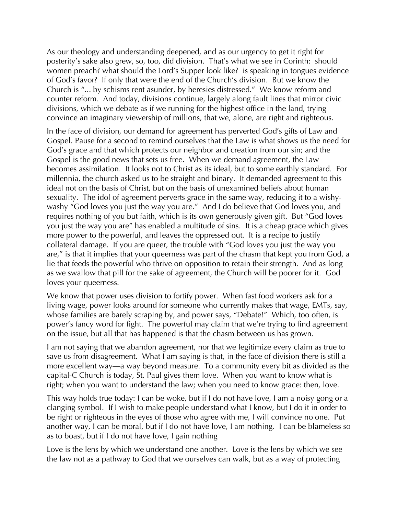As our theology and understanding deepened, and as our urgency to get it right for posterity's sake also grew, so, too, did division. That's what we see in Corinth: should women preach? what should the Lord's Supper look like? is speaking in tongues evidence of God's favor? If only that were the end of the Church's division. But we know the Church is "... by schisms rent asunder, by heresies distressed." We know reform and counter reform. And today, divisions continue, largely along fault lines that mirror civic divisions, which we debate as if we running for the highest office in the land, trying convince an imaginary viewership of millions, that we, alone, are right and righteous.

In the face of division, our demand for agreement has perverted God's gifts of Law and Gospel. Pause for a second to remind ourselves that the Law is what shows us the need for God's grace and that which protects our neighbor and creation from our sin; and the Gospel is the good news that sets us free. When we demand agreement, the Law becomes assimilation. It looks not to Christ as its ideal, but to some earthly standard. For millennia, the church asked us to be straight and binary. It demanded agreement to this ideal not on the basis of Christ, but on the basis of unexamined beliefs about human sexuality. The idol of agreement perverts grace in the same way, reducing it to a wishywashy "God loves you just the way you are." And I do believe that God loves you, and requires nothing of you but faith, which is its own generously given gift. But "God loves you just the way you are" has enabled a multitude of sins. It is a cheap grace which gives more power to the powerful, and leaves the oppressed out. It is a recipe to justify collateral damage. If you are queer, the trouble with "God loves you just the way you are," is that it implies that your queerness was part of the chasm that kept you from God, a lie that feeds the powerful who thrive on opposition to retain their strength. And as long as we swallow that pill for the sake of agreement, the Church will be poorer for it. God loves your queerness.

We know that power uses division to fortify power. When fast food workers ask for a living wage, power looks around for someone who currently makes that wage, EMTs, say, whose families are barely scraping by, and power says, "Debate!" Which, too often, is power's fancy word for fight. The powerful may claim that we're trying to find agreement on the issue, but all that has happened is that the chasm between us has grown.

I am not saying that we abandon agreement, nor that we legitimize every claim as true to save us from disagreement. What I am saying is that, in the face of division there is still a more excellent way—a way beyond measure. To a community every bit as divided as the capital-C Church is today, St. Paul gives them love. When you want to know what is right; when you want to understand the law; when you need to know grace: then, love.

This way holds true today: I can be woke, but if I do not have love, I am a noisy gong or a clanging symbol. If I wish to make people understand what I know, but I do it in order to be right or righteous in the eyes of those who agree with me, I will convince no one. Put another way, I can be moral, but if I do not have love, I am nothing. I can be blameless so as to boast, but if I do not have love, I gain nothing

Love is the lens by which we understand one another. Love is the lens by which we see the law not as a pathway to God that we ourselves can walk, but as a way of protecting